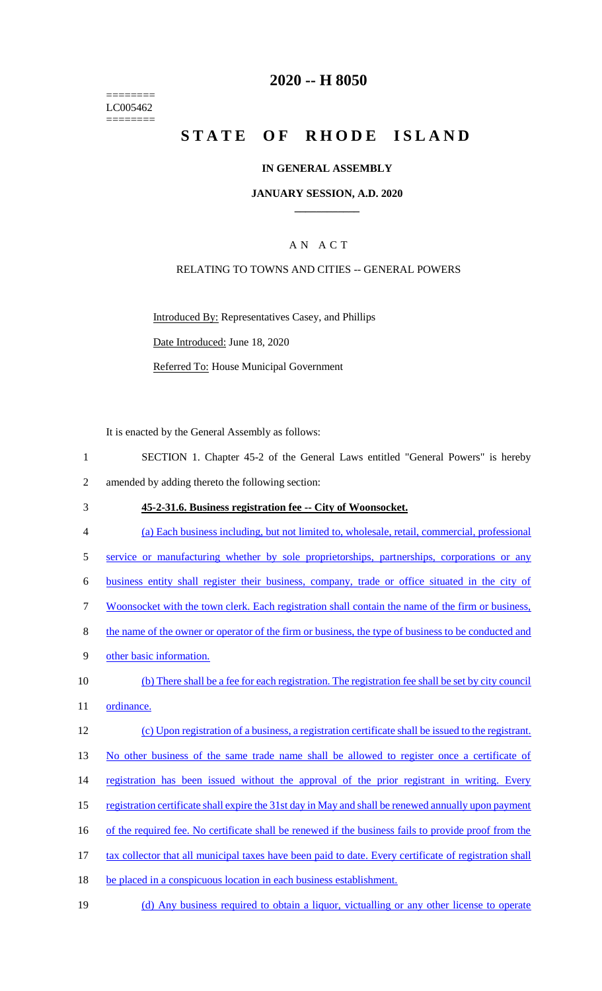======== LC005462 ========

## **2020 -- H 8050**

# **STATE OF RHODE ISLAND**

#### **IN GENERAL ASSEMBLY**

#### **JANUARY SESSION, A.D. 2020 \_\_\_\_\_\_\_\_\_\_\_\_**

### A N A C T

#### RELATING TO TOWNS AND CITIES -- GENERAL POWERS

Introduced By: Representatives Casey, and Phillips

Date Introduced: June 18, 2020

Referred To: House Municipal Government

It is enacted by the General Assembly as follows:

- 1 SECTION 1. Chapter 45-2 of the General Laws entitled "General Powers" is hereby 2 amended by adding thereto the following section:
- 3 **45-2-31.6. Business registration fee -- City of Woonsocket.**
- 4 (a) Each business including, but not limited to, wholesale, retail, commercial, professional
- 5 service or manufacturing whether by sole proprietorships, partnerships, corporations or any
- 6 business entity shall register their business, company, trade or office situated in the city of
- 7 Woonsocket with the town clerk. Each registration shall contain the name of the firm or business,
- 8 the name of the owner or operator of the firm or business, the type of business to be conducted and
- 9 other basic information.
- 10 (b) There shall be a fee for each registration. The registration fee shall be set by city council 11 ordinance.

#### 12 (c) Upon registration of a business, a registration certificate shall be issued to the registrant.

13 No other business of the same trade name shall be allowed to register once a certificate of

- 14 registration has been issued without the approval of the prior registrant in writing. Every
- 15 registration certificate shall expire the 31st day in May and shall be renewed annually upon payment
- 16 of the required fee. No certificate shall be renewed if the business fails to provide proof from the
- 17 tax collector that all municipal taxes have been paid to date. Every certificate of registration shall
- 18 be placed in a conspicuous location in each business establishment.
- 19 (d) Any business required to obtain a liquor, victualling or any other license to operate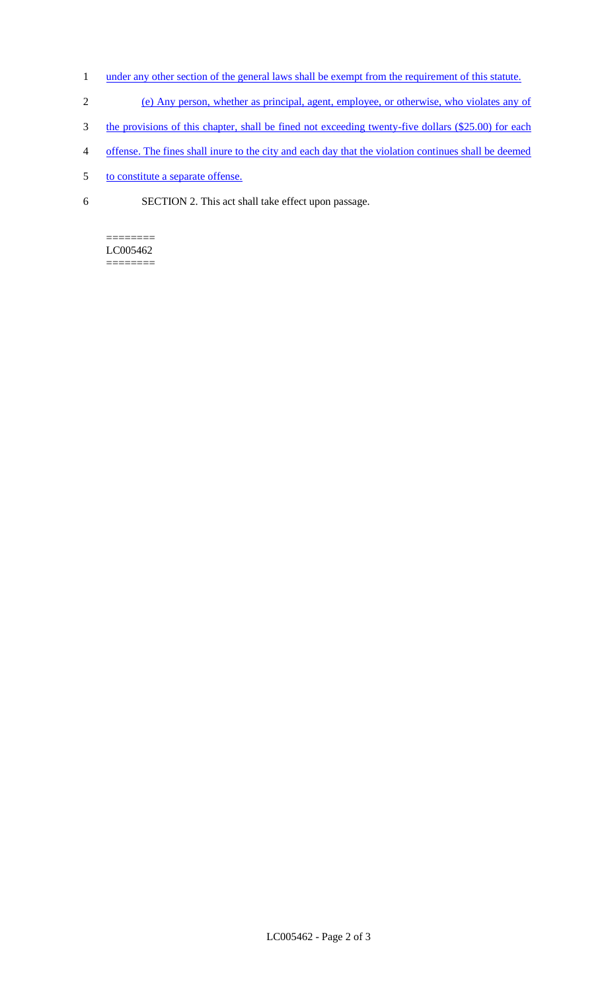- 1 under any other section of the general laws shall be exempt from the requirement of this statute.
- 2 (e) Any person, whether as principal, agent, employee, or otherwise, who violates any of
- 3 the provisions of this chapter, shall be fined not exceeding twenty-five dollars (\$25.00) for each
- 4 offense. The fines shall inure to the city and each day that the violation continues shall be deemed
- 5 to constitute a separate offense.
- 6 SECTION 2. This act shall take effect upon passage.

======== LC005462 ========